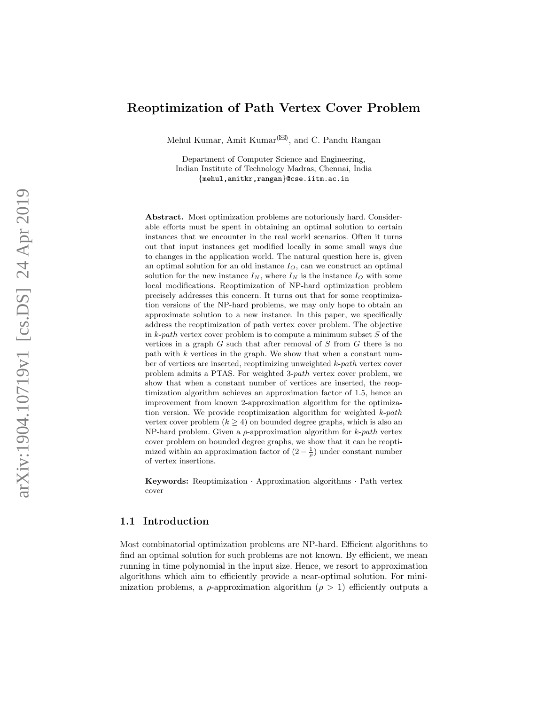# Reoptimization of Path Vertex Cover Problem

Mehul Kumar, Amit Kumar<sup>(⊠)</sup>, and C. Pandu Rangan

Department of Computer Science and Engineering, Indian Institute of Technology Madras, Chennai, India {mehul,amitkr,rangan}@cse.iitm.ac.in

Abstract. Most optimization problems are notoriously hard. Considerable efforts must be spent in obtaining an optimal solution to certain instances that we encounter in the real world scenarios. Often it turns out that input instances get modified locally in some small ways due to changes in the application world. The natural question here is, given an optimal solution for an old instance  $I_O$ , can we construct an optimal solution for the new instance  $I_N$ , where  $I_N$  is the instance  $I_O$  with some local modifications. Reoptimization of NP-hard optimization problem precisely addresses this concern. It turns out that for some reoptimization versions of the NP-hard problems, we may only hope to obtain an approximate solution to a new instance. In this paper, we specifically address the reoptimization of path vertex cover problem. The objective in  $k$ -path vertex cover problem is to compute a minimum subset  $S$  of the vertices in a graph  $G$  such that after removal of  $S$  from  $G$  there is no path with k vertices in the graph. We show that when a constant number of vertices are inserted, reoptimizing unweighted k-path vertex cover problem admits a PTAS. For weighted 3-path vertex cover problem, we show that when a constant number of vertices are inserted, the reoptimization algorithm achieves an approximation factor of 1.5, hence an improvement from known 2-approximation algorithm for the optimization version. We provide reoptimization algorithm for weighted  $k$ -path vertex cover problem  $(k \geq 4)$  on bounded degree graphs, which is also an NP-hard problem. Given a  $\rho$ -approximation algorithm for  $k$ -path vertex cover problem on bounded degree graphs, we show that it can be reoptimized within an approximation factor of  $(2 - \frac{1}{\rho})$  under constant number of vertex insertions.

Keywords: Reoptimization · Approximation algorithms · Path vertex cover

#### 1.1 Introduction

Most combinatorial optimization problems are NP-hard. Efficient algorithms to find an optimal solution for such problems are not known. By efficient, we mean running in time polynomial in the input size. Hence, we resort to approximation algorithms which aim to efficiently provide a near-optimal solution. For minimization problems, a  $\rho$ -approximation algorithm ( $\rho > 1$ ) efficiently outputs a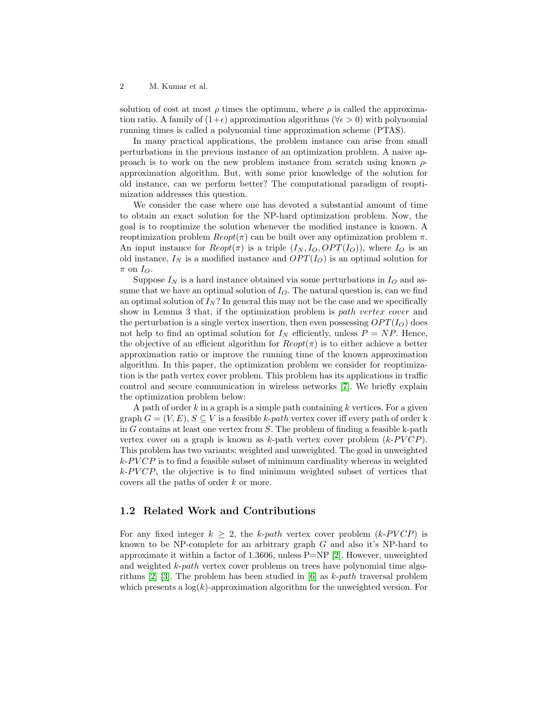solution of cost at most  $\rho$  times the optimum, where  $\rho$  is called the approximation ratio. A family of  $(1+\epsilon)$  approximation algorithms ( $\forall \epsilon > 0$ ) with polynomial running times is called a polynomial time approximation scheme (PTAS).

In many practical applications, the problem instance can arise from small perturbations in the previous instance of an optimization problem. A naive approach is to work on the new problem instance from scratch using known  $\rho$ approximation algorithm. But, with some prior knowledge of the solution for old instance, can we perform better? The computational paradigm of reoptimization addresses this question.

We consider the case where one has devoted a substantial amount of time to obtain an exact solution for the NP-hard optimization problem. Now, the goal is to reoptimize the solution whenever the modified instance is known. A reoptimization problem  $Reopt(π)$  can be built over any optimization problem π. An input instance for  $Reopt(\pi)$  is a triple  $(I_N, I_O, OPT(I_O))$ , where  $I_O$  is an old instance,  $I_N$  is a modified instance and  $OPT(I_O)$  is an optimal solution for  $\pi$  on  $I_{O}$ .

Suppose  $I_N$  is a hard instance obtained via some perturbations in  $I_O$  and assume that we have an optimal solution of  $I<sub>O</sub>$ . The natural question is, can we find an optimal solution of  $I_N$ ? In general this may not be the case and we specifically show in Lemma 3 that, if the optimization problem is path vertex cover and the perturbation is a single vertex insertion, then even possessing  $OPT(I_O)$  does not help to find an optimal solution for  $I<sub>N</sub>$  efficiently, unless  $P = NP$ . Hence, the objective of an efficient algorithm for  $Reopt(\pi)$  is to either achieve a better approximation ratio or improve the running time of the known approximation algorithm. In this paper, the optimization problem we consider for reoptimization is the path vertex cover problem. This problem has its applications in traffic control and secure communication in wireless networks [\[7\]](#page-11-0). We briefly explain the optimization problem below:

A path of order  $k$  in a graph is a simple path containing  $k$  vertices. For a given graph  $G = (V, E), S \subseteq V$  is a feasible k-path vertex cover iff every path of order k in  $G$  contains at least one vertex from  $S$ . The problem of finding a feasible k-path vertex cover on a graph is known as  $k$ -path vertex cover problem  $(k$ - $PVCP)$ . This problem has two variants: weighted and unweighted. The goal in unweighted  $k$ -PVCP is to find a feasible subset of minimum cardinality whereas in weighted  $k$ -PVCP, the objective is to find minimum weighted subset of vertices that covers all the paths of order k or more.

# 1.2 Related Work and Contributions

For any fixed integer  $k \geq 2$ , the k-path vertex cover problem (k-PVCP) is known to be NP-complete for an arbitrary graph G and also it's NP-hard to approximate it within a factor of 1.3606, unless  $P=NP [2]$  $P=NP [2]$ . However, unweighted and weighted k-path vertex cover problems on trees have polynomial time algorithms [\[2\]](#page-11-1) [\[3\]](#page-11-2). The problem has been studied in [\[6\]](#page-11-3) as k-path traversal problem which presents a  $log(k)$ -approximation algorithm for the unweighted version. For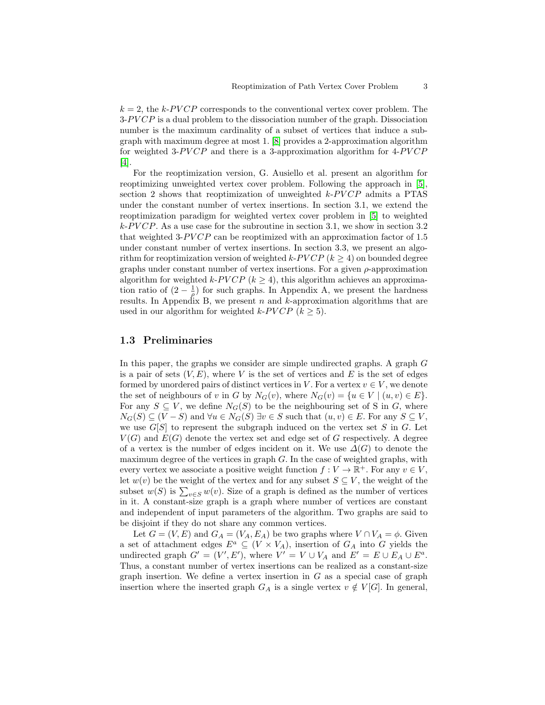$k = 2$ , the k-PVCP corresponds to the conventional vertex cover problem. The  $3-PVCP$  is a dual problem to the dissociation number of the graph. Dissociation number is the maximum cardinality of a subset of vertices that induce a subgraph with maximum degree at most 1. [\[8\]](#page-11-4) provides a 2-approximation algorithm for weighted 3- $PVCP$  and there is a 3-approximation algorithm for  $4$ - $PVCP$ [\[4\]](#page-11-5).

For the reoptimization version, G. Ausiello et al. present an algorithm for reoptimizing unweighted vertex cover problem. Following the approach in [\[5\]](#page-11-6), section 2 shows that reoptimization of unweighted  $k$ -PVCP admits a PTAS under the constant number of vertex insertions. In section 3.1, we extend the reoptimization paradigm for weighted vertex cover problem in [\[5\]](#page-11-6) to weighted  $k$ -PVCP. As a use case for the subroutine in section 3.1, we show in section 3.2 that weighted 3- $PVCP$  can be reoptimized with an approximation factor of 1.5 under constant number of vertex insertions. In section 3.3, we present an algorithm for reoptimization version of weighted  $k$ -PVCP ( $k > 4$ ) on bounded degree graphs under constant number of vertex insertions. For a given  $\rho$ -approximation algorithm for weighted k-PVCP ( $k \geq 4$ ), this algorithm achieves an approximation ratio of  $(2 - \frac{1}{\rho})$  for such graphs. In Appendix A, we present the hardness results. In Appendix B, we present  $n$  and  $k$ -approximation algorithms that are used in our algorithm for weighted k- $PVCP (k > 5)$ .

### 1.3 Preliminaries

In this paper, the graphs we consider are simple undirected graphs. A graph G is a pair of sets  $(V, E)$ , where V is the set of vertices and E is the set of edges formed by unordered pairs of distinct vertices in V. For a vertex  $v \in V$ , we denote the set of neighbours of v in G by  $N_G(v)$ , where  $N_G(v) = \{u \in V \mid (u, v) \in E\}.$ For any  $S \subseteq V$ , we define  $N_G(S)$  to be the neighbouring set of S in G, where  $N_G(S) \subseteq (V - S)$  and  $\forall u \in N_G(S) \exists v \in S$  such that  $(u, v) \in E$ . For any  $S \subseteq V$ , we use  $G[S]$  to represent the subgraph induced on the vertex set S in G. Let  $V(G)$  and  $E(G)$  denote the vertex set and edge set of G respectively. A degree of a vertex is the number of edges incident on it. We use  $\Delta(G)$  to denote the maximum degree of the vertices in graph  $G$ . In the case of weighted graphs, with every vertex we associate a positive weight function  $f: V \to \mathbb{R}^+$ . For any  $v \in V$ , let  $w(v)$  be the weight of the vertex and for any subset  $S \subseteq V$ , the weight of the subset  $w(S)$  is  $\sum_{v \in S} w(v)$ . Size of a graph is defined as the number of vertices in it. A constant-size graph is a graph where number of vertices are constant and independent of input parameters of the algorithm. Two graphs are said to be disjoint if they do not share any common vertices.

Let  $G = (V, E)$  and  $G_A = (V_A, E_A)$  be two graphs where  $V \cap V_A = \phi$ . Given a set of attachment edges  $E^a \subseteq (V \times V_A)$ , insertion of  $G_A$  into G yields the undirected graph  $G' = (V', E')$ , where  $V' = V \cup V_A$  and  $E' = E \cup E_A \cup E^a$ . Thus, a constant number of vertex insertions can be realized as a constant-size graph insertion. We define a vertex insertion in  $G$  as a special case of graph insertion where the inserted graph  $G_A$  is a single vertex  $v \notin V[G]$ . In general,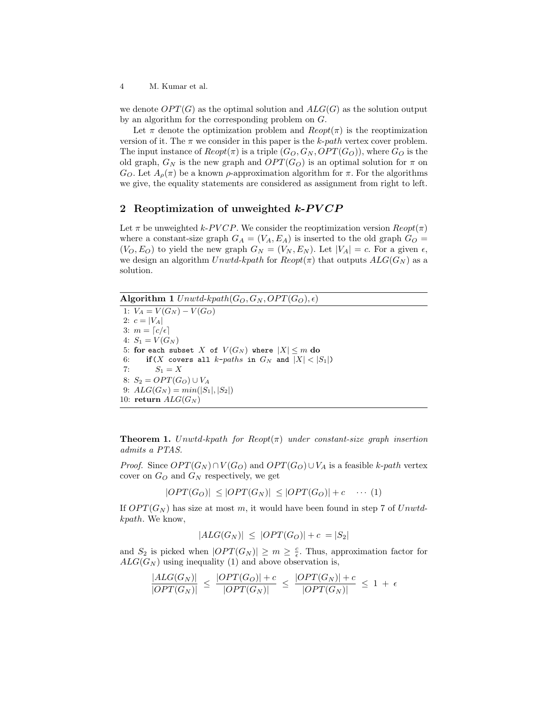we denote  $OPT(G)$  as the optimal solution and  $ALG(G)$  as the solution output by an algorithm for the corresponding problem on G.

Let  $\pi$  denote the optimization problem and  $Reopt(\pi)$  is the reoptimization version of it. The  $\pi$  we consider in this paper is the k-path vertex cover problem. The input instance of  $Reopt(\pi)$  is a triple  $(G_O, G_N, OPT(G_O))$ , where  $G_O$  is the old graph,  $G_N$  is the new graph and  $OPT(G_O)$  is an optimal solution for  $\pi$  on  $G_O$ . Let  $A_o(\pi)$  be a known  $\rho$ -approximation algorithm for  $\pi$ . For the algorithms we give, the equality statements are considered as assignment from right to left.

### 2 Reoptimization of unweighted  $k$ - $\frac{P V C P}{P}$

Let  $\pi$  be unweighted k-PVCP. We consider the reoptimization version  $Reopt(\pi)$ where a constant-size graph  $G_A = (V_A, E_A)$  is inserted to the old graph  $G_O =$  $(V_O, E_O)$  to yield the new graph  $G_N = (V_N, E_N)$ . Let  $|V_A| = c$ . For a given  $\epsilon$ , we design an algorithm Unwtd-kpath for  $Reopt(\pi)$  that outputs  $ALG(G_N)$  as a solution.

Algorithm 1  $Unwtd\text{-}kpath(G_O, G_N, OPT(G_O), \epsilon)$ 

1:  $V_A = V(G_N) - V(G_O)$ 2:  $c = |V_A|$ 3:  $m = \lceil c/\epsilon \rceil$ 4:  $S_1 = V(G_N)$ 5: for each subset X of  $V(G_N)$  where  $|X| \le m$  do 6: if  $(X$  covers all  $k$ -paths in  $G_N$  and  $|X| < |S_1|$ ) 7:  $S_1 = X$ 8:  $S_2 = OPT(G_O) \cup V_A$ 9:  $ALG(G_N) = min(|S_1|, |S_2|)$ 10: return  $ALG(G_N)$ 

**Theorem 1.** Unwtd-kpath for  $Reopt(\pi)$  under constant-size graph insertion admits a PTAS.

*Proof.* Since  $OPT(G_N) \cap V(G_O)$  and  $OPT(G_O) \cup V_A$  is a feasible k-path vertex cover on  $G_O$  and  $G_N$  respectively, we get

 $|OPT(G_O)| \leq |OPT(G_N)| \leq |OPT(G_O)| + c \cdots (1)$ 

If  $OPT(G_N)$  has size at most m, it would have been found in step 7 of Unwtdkpath. We know,

 $|ALG(G_N)| \leq |OPT(G_O)| + c = |S_2|$ 

and  $S_2$  is picked when  $|OPT(G_N)| \geq m \geq \frac{c}{\epsilon}$ . Thus, approximation factor for  $ALG(G_N)$  using inequality (1) and above observation is,

$$
\frac{|ALG(G_N)|}{|OPT(G_N)|} \leq \frac{|OPT(G_O)| + c}{|OPT(G_N)|} \leq \frac{|OPT(G_N)| + c}{|OPT(G_N)|} \leq 1 + \epsilon
$$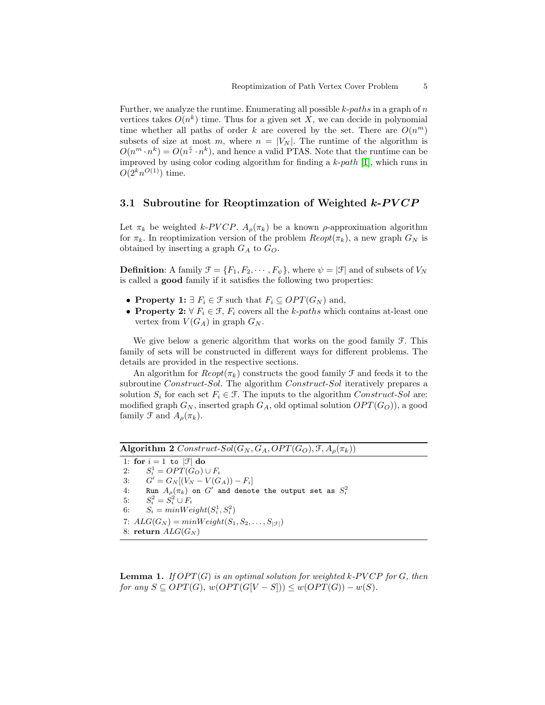Further, we analyze the runtime. Enumerating all possible  $k$ -paths in a graph of n vertices takes  $O(n^k)$  time. Thus for a given set X, we can decide in polynomial time whether all paths of order k are covered by the set. There are  $O(n^m)$ subsets of size at most m, where  $n = |V_N|$ . The runtime of the algorithm is  $O(n^m \cdot n^k) = O(n^{\frac{c}{\epsilon}} \cdot n^k)$ , and hence a valid PTAS. Note that the runtime can be improved by using color coding algorithm for finding a  $k$ -path [\[1\]](#page-11-7), which runs in  $O(2^k n^{O(1)})$  time.

### 3.1 Subroutine for Reoptimization of Weighted  $k$ -PVCP

Let  $\pi_k$  be weighted k-PVCP.  $A_\rho(\pi_k)$  be a known  $\rho$ -approximation algorithm for  $\pi_k$ . In reoptimization version of the problem  $Reopt(\pi_k)$ , a new graph  $G_N$  is obtained by inserting a graph  $G_A$  to  $G_O$ .

**Definition:** A family  $\mathcal{F} = \{F_1, F_2, \cdots, F_{\psi}\}\$ , where  $\psi = |\mathcal{F}|$  and of subsets of  $V_N$ is called a good family if it satisfies the following two properties:

- Property 1:  $\exists F_i \in \mathcal{F}$  such that  $F_i \subseteq OPT(G_N)$  and,
- Property 2:  $\forall F_i \in \mathcal{F}, F_i$  covers all the k-paths which contains at-least one vertex from  $V(G_A)$  in graph  $G_N$ .

We give below a generic algorithm that works on the good family  $\mathcal{F}$ . This family of sets will be constructed in different ways for different problems. The details are provided in the respective sections.

An algorithm for  $Reopt(\pi_k)$  constructs the good family  $\mathcal F$  and feeds it to the subroutine *Construct-Sol*. The algorithm *Construct-Sol* iteratively prepares a solution  $S_i$  for each set  $F_i \in \mathcal{F}$ . The inputs to the algorithm Construct-Sol are: modified graph  $G_N$ , inserted graph  $G_A$ , old optimal solution  $OPT(G_O)$ , a good family  $\mathcal F$  and  $A_\rho(\pi_k)$ .

Algorithm 2  $Construct-Sol(G_N, G_A, OPT(G_O), \mathcal{F}, A_\rho(\pi_k))$ 

1: for  $i = 1$  to  $|\mathcal{F}|$  do 2:  $S_i^1 = OPT(G_O) \cup F_i$ 3:  $G' = G_N[(V_N - V(G_A)) - F_i]$ 4: Run  $A_\rho(\pi_k)$  on  $G'$  and denote the output set as  $S_i^2$ 5:  $S_i^2 = S_i^2 \cup F_i$ 6:  $S_i = minWeight(S_i^1, S_i^2)$ 7:  $ALG(G_N) = minWeight(S_1, S_2, \ldots, S_{|\mathcal{F}|})$ 8: return  $ALG(G_N)$ 

<span id="page-4-0"></span>**Lemma 1.** If  $OPT(G)$  is an optimal solution for weighted k-PVCP for G, then for any  $S \subseteq OPT(G)$ ,  $w(OPT(G[V - S])) \leq w(OPT(G)) - w(S)$ .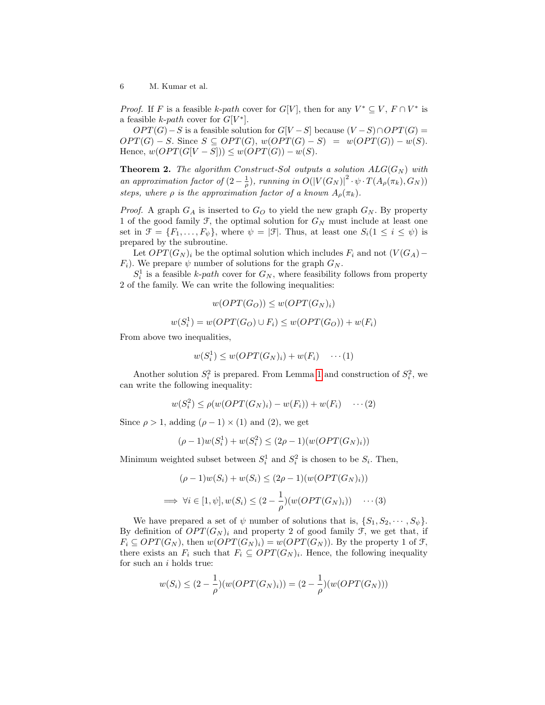*Proof.* If F is a feasible k-path cover for  $G[V]$ , then for any  $V^* \subseteq V$ ,  $F \cap V^*$  is a feasible *k*-path cover for  $G[V^*]$ .

 $OPT(G) - S$  is a feasible solution for  $G[V-S]$  because  $(V-S) \cap OPT(G) =$  $OPT(G) - S$ . Since  $S \subseteq OPT(G)$ ,  $w(OPT(G) - S) = w(OPT(G)) - w(S)$ . Hence,  $w(OPT(G[V-S])) \leq w(OPT(G)) - w(S)$ .

**Theorem 2.** The algorithm Construct-Sol outputs a solution  $ALG(G_N)$  with an approximation factor of  $(2-\frac{1}{\rho})$ , running in  $O(|V(G_N)|^2 \cdot \psi \cdot T(A_{\rho}(\pi_k), G_N))$ steps, where  $\rho$  is the approximation factor of a known  $A_{\rho}(\pi_k)$ .

*Proof.* A graph  $G_A$  is inserted to  $G_O$  to yield the new graph  $G_N$ . By property 1 of the good family  $\mathcal{F}$ , the optimal solution for  $G_N$  must include at least one set in  $\mathcal{F} = \{F_1, \ldots, F_{\psi}\}\$ , where  $\psi = |\mathcal{F}|$ . Thus, at least one  $S_i(1 \leq i \leq \psi)$  is prepared by the subroutine.

Let  $OPT(G_N)_i$  be the optimal solution which includes  $F_i$  and not  $(V(G_A)$ −  $F_i$ ). We prepare  $\psi$  number of solutions for the graph  $G_N$ .

 $S_i^1$  is a feasible k-path cover for  $G_N$ , where feasibility follows from property 2 of the family. We can write the following inequalities:

$$
w(OPT(G_O)) \le w(OPT(G_N)_i)
$$
  

$$
w(S_i^1) = w(OPT(G_O) \cup F_i) \le w(OPT(G_O)) + w(F_i)
$$

From above two inequalities,

$$
w(S_i^1) \le w(OPT(G_N)_i) + w(F_i) \quad \cdots (1)
$$

Another solution  $S_i^2$  is prepared. From Lemma [1](#page-4-0) and construction of  $S_i^2$ , we can write the following inequality:

$$
w(S_i^2) \le \rho(w(OPT(G_N)_i) - w(F_i)) + w(F_i) \quad \cdots (2)
$$

Since  $\rho > 1$ , adding  $(\rho - 1) \times (1)$  and  $(2)$ , we get

$$
(\rho - 1)w(S_i^1) + w(S_i^2) \le (2\rho - 1)(w(OPT(G_N)_i))
$$

Minimum weighted subset between  $S_i^1$  and  $S_i^2$  is chosen to be  $S_i$ . Then,

$$
(\rho - 1)w(S_i) + w(S_i) \le (2\rho - 1)(w(OPT(G_N)_i))
$$
  
\n
$$
\implies \forall i \in [1, \psi], w(S_i) \le (2 - \frac{1}{\rho})(w(OPT(G_N)_i)) \cdots (3)
$$

We have prepared a set of  $\psi$  number of solutions that is,  $\{S_1, S_2, \dots, S_{\psi}\}.$ By definition of  $OPT(G_N)_i$  and property 2 of good family  $\mathcal{F}$ , we get that, if  $F_i \subseteq OPT(G_N)$ , then  $w(OPT(G_N)_i) = w(OPT(G_N))$ . By the property 1 of  $\mathcal{F},$ there exists an  $F_i$  such that  $F_i \subseteq OPT(G_N)_i$ . Hence, the following inequality for such an  $i$  holds true:

$$
w(S_i) \le (2 - \frac{1}{\rho})(w(OPT(G_N)_i)) = (2 - \frac{1}{\rho})(w(OPT(G_N)))
$$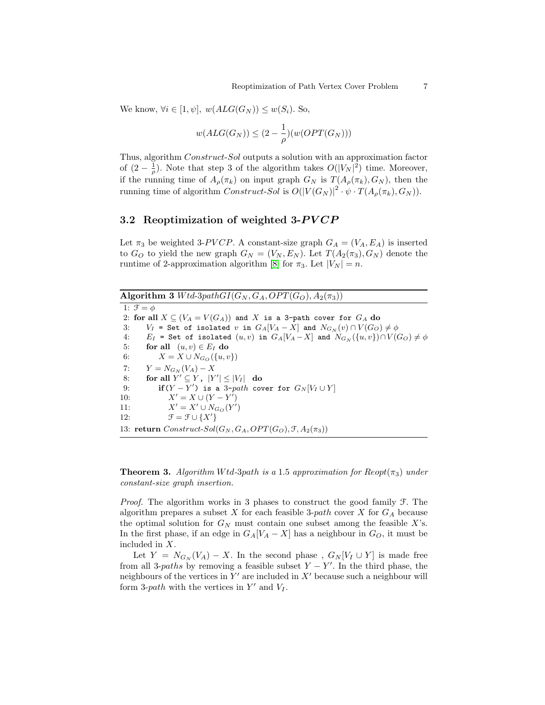We know,  $\forall i \in [1, \psi], w(ALG(G_N)) \leq w(S_i)$ . So,

$$
w(ALG(G_N)) \le (2 - \frac{1}{\rho})(w(OPT(G_N)))
$$

Thus, algorithm Construct-Sol outputs a solution with an approximation factor of  $(2-\frac{1}{\rho})$ . Note that step 3 of the algorithm takes  $O(|V_N|^2)$  time. Moreover, if the running time of  $A_{\rho}(\pi_k)$  on input graph  $G_N$  is  $T(A_{\rho}(\pi_k), G_N)$ , then the running time of algorithm  $Construct\text{-}Sol$  is  $O(|V(G_N)|^2 \cdot \psi \cdot T(A_\rho(\pi_k), G_N)).$ 

# 3.2 Reoptimization of weighted  $3-PVCP$

Let  $\pi_3$  be weighted 3-PVCP. A constant-size graph  $G_A = (V_A, E_A)$  is inserted to  $G_O$  to yield the new graph  $G_N = (V_N, E_N)$ . Let  $T(A_2(\pi_3), G_N)$  denote the runtime of 2-approximation algorithm [\[8\]](#page-11-4) for  $\pi_3$ . Let  $|V_N| = n$ .

Algorithm 3  $Wtd\text{-}3pathGI(G_N, G_A, OPT(G_O), A_2(\pi_3))$ 1:  $\mathcal{F} = \phi$ 2: for all  $X \subseteq (V_A = V(G_A))$  and X is a 3-path cover for  $G_A$  do 3:  $V_I$  = Set of isolated v in  $G_A[V_A - X]$  and  $N_{G_N}(v) \cap V(G_O) \neq \emptyset$ 4:  $E_I$  = Set of isolated  $(u, v)$  in  $G_A[V_A - X]$  and  $N_{G_N}(\{u, v\}) \cap V(G_O) \neq \emptyset$ 5: for all  $(u, v) \in E_I$  do 6:  $X = X \cup N_{G_O}(\{u, v\})$ 7:  $Y = N_{G_N}(V_A) - X$ 8: for all  $Y' \subseteq Y$ ,  $|Y'| \leq |V_I|$  do 9: if(Y - Y') is a 3-path cover for  $G_N[V_I \cup Y]$ 10:  $X' = X \cup (Y - Y')$  $11:$  $y' = X' \cup N_{G_O}(Y')$ 12:  $\mathcal{F} = \mathcal{F} \cup \{X'\}$ 13: return  $Construct-Sol(G_N, G_A, OPT(G_O), \mathcal{F}, A_2(\pi_3))$ 

**Theorem 3.** Algorithm Wtd-3path is a 1.5 approximation for  $\text{Reopt}(\pi_3)$  under constant-size graph insertion.

*Proof.* The algorithm works in 3 phases to construct the good family  $\mathcal{F}$ . The algorithm prepares a subset  $X$  for each feasible 3-path cover  $X$  for  $G_A$  because the optimal solution for  $G_N$  must contain one subset among the feasible X's. In the first phase, if an edge in  $G_A[V_A - X]$  has a neighbour in  $G_O$ , it must be included in X.

Let  $Y = N_{G_N}(V_A) - X$ . In the second phase,  $G_N[V_I \cup Y]$  is made free from all 3-*paths* by removing a feasible subset  $Y - Y'$ . In the third phase, the neighbours of the vertices in  $Y'$  are included in  $X'$  because such a neighbour will form 3-path with the vertices in  $Y'$  and  $V_I$ .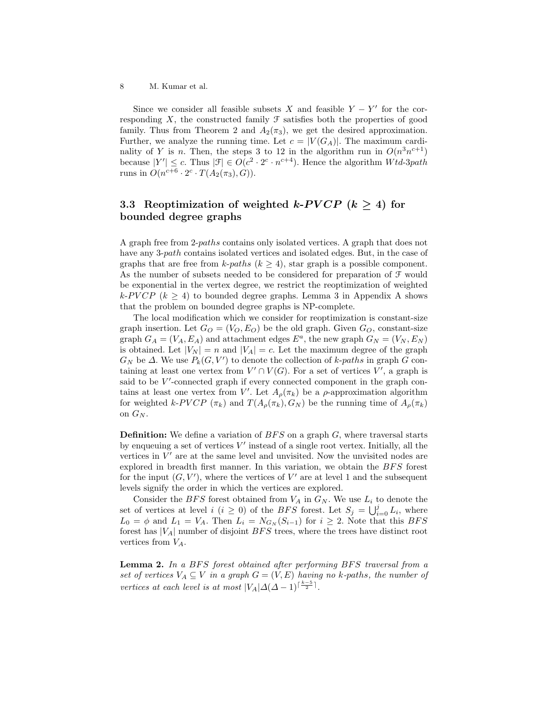Since we consider all feasible subsets X and feasible  $Y - Y'$  for the corresponding  $X$ , the constructed family  $\mathcal F$  satisfies both the properties of good family. Thus from Theorem 2 and  $A_2(\pi_3)$ , we get the desired approximation. Further, we analyze the running time. Let  $c = |V(G_A)|$ . The maximum cardinality of Y is n. Then, the steps 3 to 12 in the algorithm run in  $O(n^3n^{c+1})$ because  $|Y'| \leq c$ . Thus  $|\mathcal{F}| \in O(c^2 \cdot 2^c \cdot n^{c+4})$ . Hence the algorithm  $Wtd\text{-}3path$ runs in  $O(n^{c+6} \cdot 2^c \cdot T(A_2(\pi_3), G)).$ 

# 3.3 Reoptimization of weighted k-PVCP  $(k \geq 4)$  for bounded degree graphs

A graph free from 2-paths contains only isolated vertices. A graph that does not have any 3-*path* contains isolated vertices and isolated edges. But, in the case of graphs that are free from k-paths ( $k \geq 4$ ), star graph is a possible component. As the number of subsets needed to be considered for preparation of F would be exponential in the vertex degree, we restrict the reoptimization of weighted k-PV CP ( $k > 4$ ) to bounded degree graphs. Lemma 3 in Appendix A shows that the problem on bounded degree graphs is NP-complete.

The local modification which we consider for reoptimization is constant-size graph insertion. Let  $G_O = (V_O, E_O)$  be the old graph. Given  $G_O$ , constant-size graph  $G_A = (V_A, E_A)$  and attachment edges  $E^a$ , the new graph  $G_N = (V_N, E_N)$ is obtained. Let  $|V_N| = n$  and  $|V_A| = c$ . Let the maximum degree of the graph  $G_N$  be  $\Delta$ . We use  $P_k(G, V')$  to denote the collection of k-paths in graph G containing at least one vertex from  $V' \cap V(G)$ . For a set of vertices  $V'$ , a graph is said to be  $V'$ -connected graph if every connected component in the graph contains at least one vertex from V'. Let  $A_{\rho}(\pi_k)$  be a  $\rho$ -approximation algorithm for weighted k-PVCP  $(\pi_k)$  and  $T(A_\rho(\pi_k), G_N)$  be the running time of  $A_\rho(\pi_k)$ on  $G_N$ .

**Definition:** We define a variation of  $BFS$  on a graph  $G$ , where traversal starts by enqueuing a set of vertices  $V'$  instead of a single root vertex. Initially, all the vertices in  $V'$  are at the same level and unvisited. Now the unvisited nodes are explored in breadth first manner. In this variation, we obtain the  $BFS$  forest for the input  $(G, V')$ , where the vertices of  $V'$  are at level 1 and the subsequent levels signify the order in which the vertices are explored.

Consider the BFS forest obtained from  $V_A$  in  $G_N$ . We use  $L_i$  to denote the set of vertices at level  $i$   $(i \geq 0)$  of the *BFS* forest. Let  $S_j = \bigcup_{i=0}^j L_i$ , where  $L_0 = \phi$  and  $L_1 = V_A$ . Then  $L_i = N_{G_N}(S_{i-1})$  for  $i \geq 2$ . Note that this BFS forest has  $|V_A|$  number of disjoint  $BFS$  trees, where the trees have distinct root vertices from  $V_A$ .

Lemma 2. In a BFS forest obtained after performing BFS traversal from a set of vertices  $V_A \subseteq V$  in a graph  $G = (V, E)$  having no k-paths, the number of vertices at each level is at most  $|V_A|\Delta(\Delta-1)^{\lceil\frac{k-5}{2}\rceil}$ .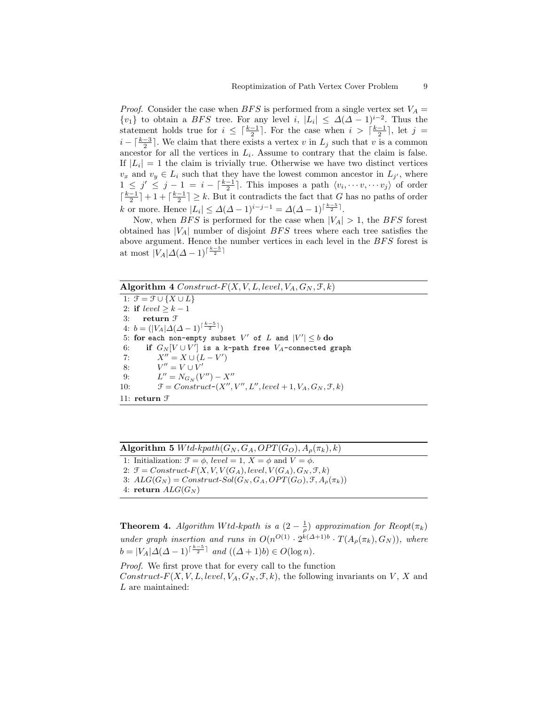*Proof.* Consider the case when BFS is performed from a single vertex set  $V_A$  =  $\{v_1\}$  to obtain a *BFS* tree. For any level i,  $|L_i| \leq \Delta(\Delta - 1)^{i-2}$ . Thus the statement holds true for  $i \leq \lceil \frac{k-1}{2} \rceil$ . For the case when  $i > \lceil \frac{k-1}{2} \rceil$ , let  $j =$  $i - \lceil \frac{k-3}{2} \rceil$ . We claim that there exists a vertex v in  $L_j$  such that v is a common ancestor for all the vertices in  $L_i$ . Assume to contrary that the claim is false. If  $|L_i| = 1$  the claim is trivially true. Otherwise we have two distinct vertices  $v_x$  and  $v_y \in L_i$  such that they have the lowest common ancestor in  $L_{j'}$ , where  $1 \leq j' \leq j-1 = i - \lceil \frac{k-1}{2} \rceil$ . This imposes a path  $\langle v_i, \dots, v_j \rangle$  of order  $\lceil \frac{k-1}{2} \rceil + 1 + \lceil \frac{k-1}{2} \rceil \geq k$ . But it contradicts the fact that G has no paths of order k or more. Hence  $|L_i| \leq \Delta(\Delta - 1)^{i-j-1} = \Delta(\Delta - 1)^{\lceil \frac{k-5}{2} \rceil}$ .

Now, when BFS is performed for the case when  $|V_A| > 1$ , the BFS forest obtained has  $|V_A|$  number of disjoint  $BFS$  trees where each tree satisfies the above argument. Hence the number vertices in each level in the  $BFS$  forest is at most  $|V_A|\Delta(\Delta - 1)^{\lceil \frac{k-5}{2} \rceil}$ 

#### Algorithm 4  $Construct-F(X, V, L, level, V_A, G_N, \mathcal{F}, k)$

1:  $\overline{\mathcal{F}} = \mathcal{F} \cup \{X \cup L\}$ 2: if  $level \geq k-1$ 3: return F 4:  $b = (|V_A| \Delta(\Delta - 1)^{\lceil \frac{k-5}{2} \rceil})$ 5: for each non-empty subset  $V'$  of  $L$  and  $|V'| \leq b$  do 6: if  $G_N[V \cup V']$  is a k-path free  $V_A$ -connected graph 7:  $X'' = X \cup (L - V')$ 8:  $V'' = V \cup V'$ 9:  $L'' = N_{G_N}(V'') - X''$ 10:  $\mathcal{F} = Construct\text{-}(X'', V'', L'', level + 1, V_A, G_N, \mathcal{F}, k)$ 11: return F

| <b>Algorithm 5</b> <i>Wtd-kpath</i> ( $G_N$ , $G_A$ , $OPT(G_O)$ , $A_\rho(\pi_k)$ , k) |  |  |  |  |
|-----------------------------------------------------------------------------------------|--|--|--|--|
|-----------------------------------------------------------------------------------------|--|--|--|--|

```
1: Initialization: \mathcal{F} = \phi, level = 1, X = \phi and V = \phi.
```
2:  $\mathcal{F} = Construct\text{-}F(X, V, V(G_A), level, V(G_A), G_N, \mathcal{F}, k)$ 

3:  $ALG(G_N) = Construct-Sol(G_N, G_A, OPT(G_O), \mathcal{F}, A_\rho(\pi_k))$ 

```
4: return ALG(G_N)
```
**Theorem 4.** Algorithm Wtd-kpath is a  $(2 - \frac{1}{\rho})$  approximation for  $\text{Reopt}(\pi_k)$ under graph insertion and runs in  $O(n^{O(1)} \cdot 2^{k(\Delta+1)b} \cdot T(A_\rho(\pi_k), G_N))$ , where  $b = |V_A| \Delta(\Delta - 1)^{\lceil \frac{k-5}{2} \rceil}$  and  $((\Delta + 1)b) \in O(\log n)$ .

Proof. We first prove that for every call to the function Construct-F(X, V, L, level,  $V_A$ ,  $G_N$ ,  $\mathcal{F}, k$ ), the following invariants on V, X and L are maintained: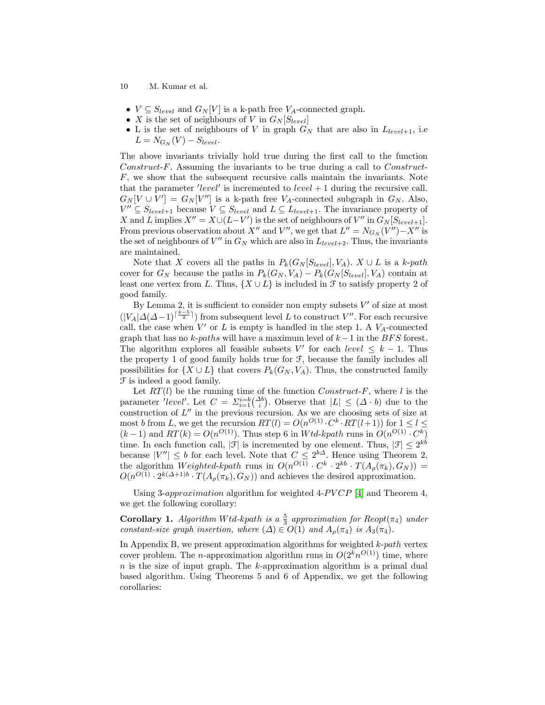- 10 M. Kumar et al.
- $V \subseteq S_{level}$  and  $G_N[V]$  is a k-path free  $V_A$ -connected graph.
- X is the set of neighbours of V in  $G_N[S_{level}]$
- L is the set of neighbours of V in graph  $G_N$  that are also in  $L_{level+1}$ , i.e  $L = N_{G_N}(V) - S_{level}.$

The above invariants trivially hold true during the first call to the function Construct-F. Assuming the invariants to be true during a call to Construct-F, we show that the subsequent recursive calls maintain the invariants. Note that the parameter 'level' is incremented to  $level + 1$  during the recursive call.  $G_N[V \cup V'] = G_N[V'']$  is a k-path free  $V_A$ -connected subgraph in  $G_N$ . Also,  $V'' \subseteq S_{level+1}$  because  $V \subseteq S_{level}$  and  $L \subseteq L_{level+1}$ . The invariance property of X and L implies  $X'' = X \cup (L-V')$  is the set of neighbours of V'' in  $G_N[S_{level+1}]$ . From previous observation about  $X''$  and  $V''$ , we get that  $L'' = N_{G_N}(V'') - X''$  is the set of neighbours of  $V''$  in  $G_N$  which are also in  $L_{level+2}$ . Thus, the invariants are maintained.

Note that X covers all the paths in  $P_k(G_N[S_{level}], V_A)$ .  $X \cup L$  is a k-path cover for  $G_N$  because the paths in  $P_k(G_N, V_A) - P_k(G_N[S_{level}], V_A)$  contain at least one vertex from L. Thus,  $\{X \cup L\}$  is included in  $\mathcal F$  to satisfy property 2 of good family.

By Lemma 2, it is sufficient to consider non empty subsets  $V'$  of size at most  $(|V_A|\Delta(\Delta-1)^{\lceil\frac{k-5}{2}\rceil})$  from subsequent level L to construct V''. For each recursive call, the case when  $V'$  or  $L$  is empty is handled in the step 1. A  $V_A$ -connected graph that has no k-paths will have a maximum level of  $k-1$  in the BFS forest. The algorithm explores all feasible subsets V' for each level  $\leq k - 1$ . Thus the property 1 of good family holds true for F, because the family includes all possibilities for  $\{X \cup L\}$  that covers  $P_k(G_N, V_A)$ . Thus, the constructed family F is indeed a good family.

Let  $RT(l)$  be the running time of the function  $Construct-F$ , where l is the parameter 'level'. Let  $C = \sum_{i=1}^{i=b} {\Delta b \choose i}$ . Observe that  $|L| \leq (\Delta \cdot b)$  due to the construction of  $L''$  in the previous recursion. As we are choosing sets of size at most b from L, we get the recursion  $RT(l) = O(n^{O(1)} \cdot C^k \cdot RT(l+1))$  for  $1 \leq l \leq$  $(k-1)$  and  $RT(k) = O(n^{O(1)})$ . Thus step 6 in Wtd-kpath runs in  $O(n^{O(1)} \cdot C^k)$ time. In each function call,  $|\mathcal{F}|$  is incremented by one element. Thus,  $|\mathcal{F}| \leq 2^{kb}$ because  $|V''| \leq b$  for each level. Note that  $C \leq 2^{b\Delta}$ . Hence using Theorem 2, the algorithm Weighted-kpath runs in  $O(n^{O(1)} \cdot C^k \cdot 2^{kb} \cdot T(A_\rho(\pi_k), G_N))$  =  $O(n^{O(1)} \cdot 2^{k(\Delta+1)b} \cdot T(A_{\rho}(\pi_k), G_N))$  and achieves the desired approximation.

Using 3-approximation algorithm for weighted 4-PVCP [\[4\]](#page-11-5) and Theorem 4, we get the following corollary:

**Corollary 1.** Algorithm Wtd-kpath is a  $\frac{5}{3}$  approximation for Reopt( $\pi$ <sub>4</sub>) under constant-size graph insertion, where  $(\Delta) \in O(1)$  and  $A_o(\pi_4)$  is  $A_3(\pi_4)$ .

In Appendix B, we present approximation algorithms for weighted  $k$ -path vertex cover problem. The *n*-approximation algorithm runs in  $O(2<sup>k</sup>n<sup>O(1)</sup>)$  time, where  $n$  is the size of input graph. The k-approximation algorithm is a primal dual based algorithm. Using Theorems 5 and 6 of Appendix, we get the following corollaries: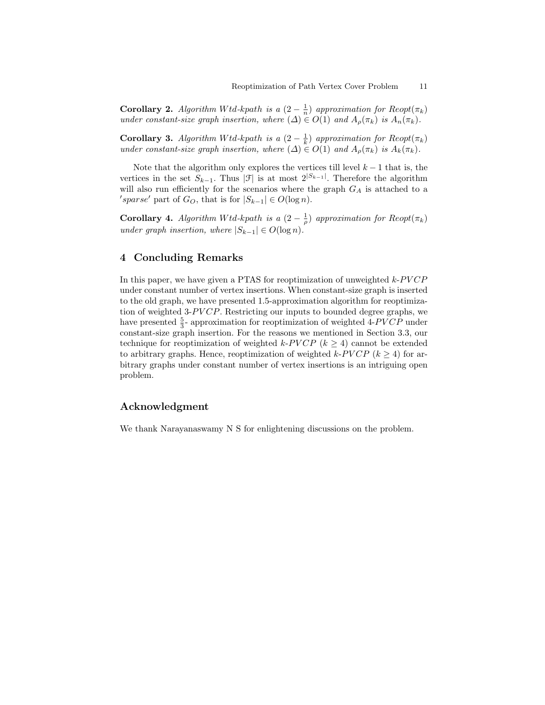**Corollary 2.** Algorithm Wtd-kpath is a  $(2 - \frac{1}{n})$  approximation for  $\text{Reopt}(\pi_k)$ under constant-size graph insertion, where  $(\Delta) \in O(1)$  and  $A_{\rho}(\pi_k)$  is  $A_n(\pi_k)$ .

**Corollary 3.** Algorithm Wtd-kpath is a  $(2 - \frac{1}{k})$  approximation for  $\text{Reopt}(\pi_k)$ under constant-size graph insertion, where  $(\Delta) \in O(1)$  and  $A_{\rho}(\pi_k)$  is  $A_k(\pi_k)$ .

Note that the algorithm only explores the vertices till level  $k - 1$  that is, the vertices in the set  $S_{k-1}$ . Thus |J is at most  $2^{|S_{k-1}|}$ . Therefore the algorithm will also run efficiently for the scenarios where the graph  $G_A$  is attached to a 'sparse' part of  $G_O$ , that is for  $|S_{k-1}| \in O(\log n)$ .

**Corollary 4.** Algorithm Wtd-kpath is a  $(2 - \frac{1}{\rho})$  approximation for  $\text{Reopt}(\pi_k)$ under graph insertion, where  $|S_{k-1}| \in O(\log n)$ .

# 4 Concluding Remarks

In this paper, we have given a PTAS for reoptimization of unweighted  $k$ - $PVCP$ under constant number of vertex insertions. When constant-size graph is inserted to the old graph, we have presented 1.5-approximation algorithm for reoptimization of weighted 3- $PVCP$ . Restricting our inputs to bounded degree graphs, we have presented  $\frac{5}{3}$ - approximation for reoptimization of weighted 4-PVCP under constant-size graph insertion. For the reasons we mentioned in Section 3.3, our technique for reoptimization of weighted k-PVCP  $(k \geq 4)$  cannot be extended to arbitrary graphs. Hence, resptimization of weighted k-PVCP  $(k > 4)$  for arbitrary graphs under constant number of vertex insertions is an intriguing open problem.

### Acknowledgment

We thank Narayanaswamy N S for enlightening discussions on the problem.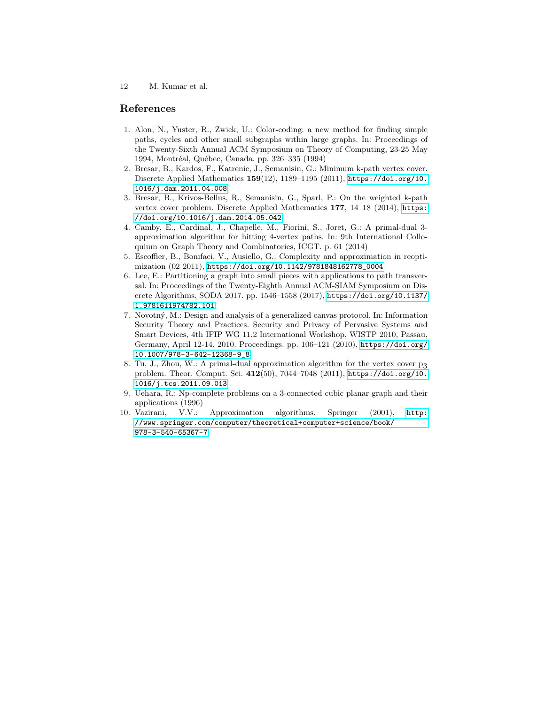#### References

- <span id="page-11-7"></span>1. Alon, N., Yuster, R., Zwick, U.: Color-coding: a new method for finding simple paths, cycles and other small subgraphs within large graphs. In: Proceedings of the Twenty-Sixth Annual ACM Symposium on Theory of Computing, 23-25 May 1994, Montréal, Québec, Canada. pp. 326-335 (1994)
- <span id="page-11-1"></span>2. Bresar, B., Kardos, F., Katrenic, J., Semanisin, G.: Minimum k-path vertex cover. Discrete Applied Mathematics  $159(12)$ ,  $1189-1195$  (2011), [https://doi.org/10.](https://doi.org/10.1016/j.dam.2011.04.008) [1016/j.dam.2011.04.008](https://doi.org/10.1016/j.dam.2011.04.008)
- <span id="page-11-2"></span>3. Bresar, B., Krivos-Bellus, R., Semanisin, G., Sparl, P.: On the weighted k-path vertex cover problem. Discrete Applied Mathematics 177, 14–18 (2014), [https:](https://doi.org/10.1016/j.dam.2014.05.042) [//doi.org/10.1016/j.dam.2014.05.042](https://doi.org/10.1016/j.dam.2014.05.042)
- <span id="page-11-5"></span>4. Camby, E., Cardinal, J., Chapelle, M., Fiorini, S., Joret, G.: A primal-dual 3 approximation algorithm for hitting 4-vertex paths. In: 9th International Colloquium on Graph Theory and Combinatorics, ICGT. p. 61 (2014)
- <span id="page-11-6"></span>5. Escoffier, B., Bonifaci, V., Ausiello, G.: Complexity and approximation in reoptimization (02 2011), [https://doi.org/10.1142/9781848162778\\_0004](https://doi.org/10.1142/9781848162778_0004)
- <span id="page-11-3"></span>6. Lee, E.: Partitioning a graph into small pieces with applications to path transversal. In: Proceedings of the Twenty-Eighth Annual ACM-SIAM Symposium on Discrete Algorithms, SODA 2017. pp. 1546–1558 (2017), [https://doi.org/10.1137/](https://doi.org/10.1137/1.9781611974782.101) [1.9781611974782.101](https://doi.org/10.1137/1.9781611974782.101)
- <span id="page-11-0"></span>7. Novotn´y, M.: Design and analysis of a generalized canvas protocol. In: Information Security Theory and Practices. Security and Privacy of Pervasive Systems and Smart Devices, 4th IFIP WG 11.2 International Workshop, WISTP 2010, Passau, Germany, April 12-14, 2010. Proceedings. pp. 106–121 (2010), [https://doi.org/](https://doi.org/10.1007/978-3-642-12368-9_8) [10.1007/978-3-642-12368-9\\_8](https://doi.org/10.1007/978-3-642-12368-9_8)
- <span id="page-11-4"></span>8. Tu, J., Zhou, W.: A primal-dual approximation algorithm for the vertex cover  $p_3$ problem. Theor. Comput. Sci. 412(50), 7044–7048 (2011), [https://doi.org/10.](https://doi.org/10.1016/j.tcs.2011.09.013) [1016/j.tcs.2011.09.013](https://doi.org/10.1016/j.tcs.2011.09.013)
- <span id="page-11-8"></span>9. Uehara, R.: Np-complete problems on a 3-connected cubic planar graph and their applications (1996)
- <span id="page-11-9"></span>10. Vazirani, V.V.: Approximation algorithms. Springer (2001), [http:](http://www.springer.com/computer/theoretical+computer+science/book/978-3-540-65367-7) [//www.springer.com/computer/theoretical+computer+science/book/](http://www.springer.com/computer/theoretical+computer+science/book/978-3-540-65367-7) [978-3-540-65367-7](http://www.springer.com/computer/theoretical+computer+science/book/978-3-540-65367-7)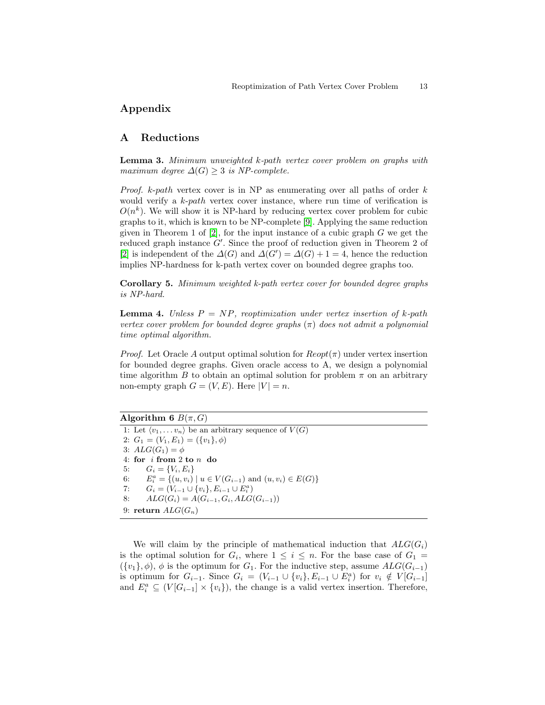# Appendix

# A Reductions

Lemma 3. Minimum unweighted k-path vertex cover problem on graphs with maximum degree  $\Delta(G) \geq 3$  is NP-complete.

*Proof.*  $k$ -path vertex cover is in NP as enumerating over all paths of order  $k$ would verify a k-path vertex cover instance, where run time of verification is  $O(n^k)$ . We will show it is NP-hard by reducing vertex cover problem for cubic graphs to it, which is known to be NP-complete [\[9\]](#page-11-8). Applying the same reduction given in Theorem 1 of  $[2]$ , for the input instance of a cubic graph G we get the reduced graph instance  $G'$ . Since the proof of reduction given in Theorem 2 of [\[2\]](#page-11-1) is independent of the  $\Delta(G)$  and  $\Delta(G') = \Delta(G) + 1 = 4$ , hence the reduction implies NP-hardness for k-path vertex cover on bounded degree graphs too.

Corollary 5. Minimum weighted k-path vertex cover for bounded degree graphs is NP-hard.

**Lemma 4.** Unless  $P = NP$ , reoptimization under vertex insertion of k-path vertex cover problem for bounded degree graphs  $(\pi)$  does not admit a polynomial time optimal algorithm.

*Proof.* Let Oracle A output optimal solution for  $Reopt(\pi)$  under vertex insertion for bounded degree graphs. Given oracle access to A, we design a polynomial time algorithm B to obtain an optimal solution for problem  $\pi$  on an arbitrary non-empty graph  $G = (V, E)$ . Here  $|V| = n$ .

Algorithm 6  $B(\pi, G)$ 

1: Let  $\langle v_1, \ldots v_n \rangle$  be an arbitrary sequence of  $V(G)$ 2:  $G_1 = (V_1, E_1) = (\{v_1\}, \phi)$ 3:  $ALG(G_1) = \phi$ 4: for i from 2 to n do 5:  $G_i = \{V_i, E_i\}$ 6:  $E_i^a = \{(u, v_i) \mid u \in V(G_{i-1}) \text{ and } (u, v_i) \in E(G)\}\$ 7:  $G_i = (V_{i-1} \cup \{v_i\}, E_{i-1} \cup E_i^a)$ 8:  $ALG(G_i) = A(G_{i-1}, G_i, ALG(G_{i-1}))$ 9: return  $ALG(G_n)$ 

We will claim by the principle of mathematical induction that  $ALG(G_i)$ is the optimal solution for  $G_i$ , where  $1 \leq i \leq n$ . For the base case of  $G_1 =$  $({v_1}, \phi)$ ,  $\phi$  is the optimum for  $G_1$ . For the inductive step, assume  $ALG(G_{i-1})$ is optimum for  $G_{i-1}$ . Since  $G_i = (V_{i-1} \cup \{v_i\}, E_{i-1} \cup E_i^a)$  for  $v_i \notin V[G_{i-1}]$ and  $E_i^a \subseteq (V[G_{i-1}] \times \{v_i\})$ , the change is a valid vertex insertion. Therefore,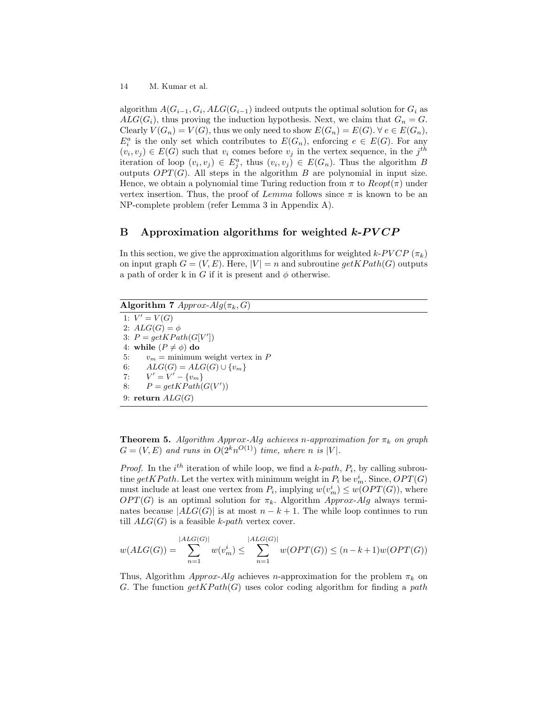algorithm  $A(G_{i-1}, G_i, ALG(G_{i-1}))$  indeed outputs the optimal solution for  $G_i$  as  $ALG(G_i)$ , thus proving the induction hypothesis. Next, we claim that  $G_n = G$ . Clearly  $V(G_n) = V(G)$ , thus we only need to show  $E(G_n) = E(G)$ .  $\forall e \in E(G_n)$ ,  $E_i^a$  is the only set which contributes to  $E(G_n)$ , enforcing  $e \in E(G)$ . For any  $(v_i, v_j) \in E(G)$  such that  $v_i$  comes before  $v_j$  in the vertex sequence, in the j<sup>th</sup> iteration of loop  $(v_i, v_j) \in E_j^a$ , thus  $(v_i, v_j) \in E(G_n)$ . Thus the algorithm B outputs  $OPT(G)$ . All steps in the algorithm B are polynomial in input size. Hence, we obtain a polynomial time Turing reduction from  $\pi$  to  $Reopt(\pi)$  under vertex insertion. Thus, the proof of  $Lemma$  follows since  $\pi$  is known to be an NP-complete problem (refer Lemma 3 in Appendix A).

# B Approximation algorithms for weighted  $k$ - $\frac{P}{CP}$

In this section, we give the approximation algorithms for weighted  $k$ -PVCP  $(\pi_k)$ on input graph  $G = (V, E)$ . Here,  $|V| = n$  and subroutine  $getKPath(G)$  outputs a path of order k in G if it is present and  $\phi$  otherwise.

Algorithm 7  $Approx-Alg(\pi_k, G)$ 1:  $V' = V(G)$ 2:  $ALG(G) = \phi$ 3:  $P = getKPath(G[V'])$ 4: while  $(P \neq \phi)$  do 5:  $v_m = \text{minimum weight vertex in } P$ 6:  $ALG(G) = ALG(G) \cup \{v_m\}$  $7:$  $v' = V' - \{v_m\}$ 8:  $P = getKPath(G(V'))$ 9: return  $ALG(G)$ 

**Theorem 5.** Algorithm Approx-Alg achieves n-approximation for  $\pi_k$  on graph  $G = (V, E)$  and runs in  $O(2<sup>k</sup>n<sup>O(1)</sup>)$  time, where n is |V|.

*Proof.* In the  $i^{th}$  iteration of while loop, we find a k-path,  $P_i$ , by calling subroutine  $\det KPath$ . Let the vertex with minimum weight in  $P_i$  be  $v_m^i$ . Since,  $OPT(G)$ must include at least one vertex from  $P_i$ , implying  $w(v_m^i) \leq w(OPT(G))$ , where  $OPT(G)$  is an optimal solution for  $\pi_k$ . Algorithm Approx-Alg always terminates because  $|ALG(G)|$  is at most  $n - k + 1$ . The while loop continues to run till  $ALG(G)$  is a feasible k-path vertex cover.

$$
w(ALG(G)) = \sum_{n=1}^{|ALG(G)|} w(v_m^i) \le \sum_{n=1}^{|ALG(G)|} w(OPT(G)) \le (n-k+1)w(OPT(G))
$$

Thus, Algorithm Approx-Alg achieves n-approximation for the problem  $\pi_k$  on G. The function  $getKPath(G)$  uses color coding algorithm for finding a path